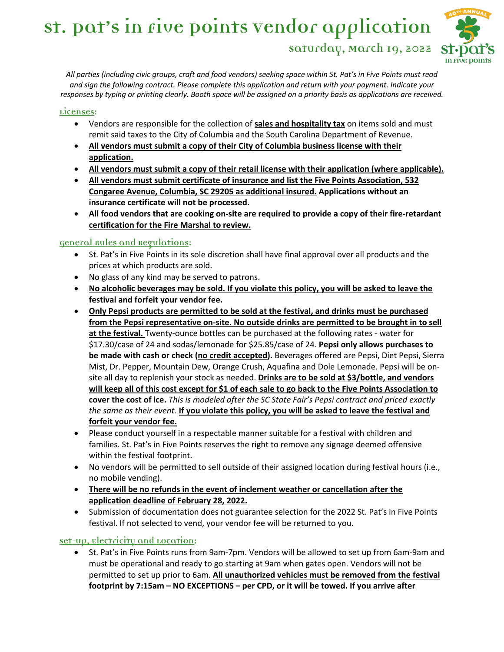# **St. Pat's in Five Points Vendor application Saturday, March 19, 2022**



*All parties (including civic groups, craft and food vendors) seeking space within St. Pat's in Five Points must read and sign the following contract. Please complete this application and return with your payment. Indicate your responses by typing or printing clearly. Booth space will be assigned on a priority basis as applications are received.* 

#### **Licenses:**

- Vendors are responsible for the collection of **sales and hospitality tax** on items sold and must remit said taxes to the City of Columbia and the South Carolina Department of Revenue.
- **All vendors must submit a copy of their City of Columbia business license with their application.**
- **All vendors must submit a copy of their retail license with their application (where applicable).**
- **All vendors must submit certificate of insurance and list the Five Points Association, 532 Congaree Avenue, Columbia, SC 29205 as additional insured. Applications without an insurance certificate will not be processed.**
- **All food vendors that are cooking on-site are required to provide a copy of their fire-retardant certification for the Fire Marshal to review.**

#### **General Rules and Regulations:**

- St. Pat's in Five Points in its sole discretion shall have final approval over all products and the prices at which products are sold.
- No glass of any kind may be served to patrons.
- **No alcoholic beverages may be sold. If you violate this policy, you will be asked to leave the festival and forfeit your vendor fee.**
- **Only Pepsi products are permitted to be sold at the festival, and drinks must be purchased from the Pepsi representative on-site. No outside drinks are permitted to be brought in to sell at the festival.** Twenty-ounce bottles can be purchased at the following rates - water for \$17.30/case of 24 and sodas/lemonade for \$25.85/case of 24. **Pepsi only allows purchases to be made with cash or check (no credit accepted).** Beverages offered are Pepsi, Diet Pepsi, Sierra Mist, Dr. Pepper, Mountain Dew, Orange Crush, Aquafina and Dole Lemonade. Pepsi will be onsite all day to replenish your stock as needed. **Drinks are to be sold at \$3/bottle, and vendors will keep all of this cost except for \$1 of each sale to go back to the Five Points Association to cover the cost of ice.** *This is modeled after the SC State Fair's Pepsi contract and priced exactly the same as their event.* **If you violate this policy, you will be asked to leave the festival and forfeit your vendor fee.**
- Please conduct yourself in a respectable manner suitable for a festival with children and families. St. Pat's in Five Points reserves the right to remove any signage deemed offensive within the festival footprint.
- No vendors will be permitted to sell outside of their assigned location during festival hours (i.e., no mobile vending).
- **There will be no refunds in the event of inclement weather or cancellation after the application deadline of February 28, 2022.**
- Submission of documentation does not guarantee selection for the 2022 St. Pat's in Five Points festival. If not selected to vend, your vendor fee will be returned to you.

### **Set-Up, Electricity and Location:**

• St. Pat's in Five Points runs from 9am-7pm. Vendors will be allowed to set up from 6am-9am and must be operational and ready to go starting at 9am when gates open. Vendors will not be permitted to set up prior to 6am. **All unauthorized vehicles must be removed from the festival footprint by 7:15am – NO EXCEPTIONS – per CPD, or it will be towed. If you arrive after**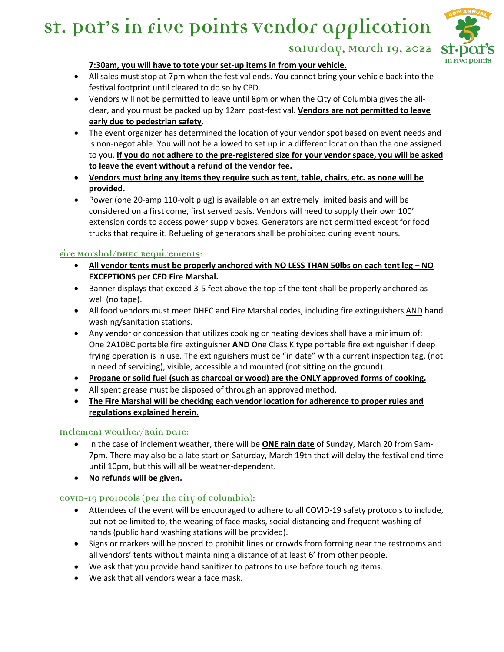

**Saturday, March 19, 2022**

#### **7:30am, you will have to tote your set-up items in from your vehicle.**

- All sales must stop at 7pm when the festival ends. You cannot bring your vehicle back into the festival footprint until cleared to do so by CPD.
- Vendors will not be permitted to leave until 8pm or when the City of Columbia gives the allclear, and you must be packed up by 12am post-festival. **Vendors are not permitted to leave early due to pedestrian safety.**
- The event organizer has determined the location of your vendor spot based on event needs and is non-negotiable. You will not be allowed to set up in a different location than the one assigned to you. **If you do not adhere to the pre-registered size for your vendor space, you will be asked to leave the event without a refund of the vendor fee.**
- **Vendors must bring any items they require such as tent, table, chairs, etc. as none will be provided.**
- Power (one 20-amp 110-volt plug) is available on an extremely limited basis and will be considered on a first come, first served basis. Vendors will need to supply their own 100' extension cords to access power supply boxes. Generators are not permitted except for food trucks that require it. Refueling of generators shall be prohibited during event hours.

## **Fire Marshal/DHEC Requirements:**

- **All vendor tents must be properly anchored with NO LESS THAN 50lbs on each tent leg – NO EXCEPTIONS per CFD Fire Marshal.**
- Banner displays that exceed 3-5 feet above the top of the tent shall be properly anchored as well (no tape).
- All food vendors must meet DHEC and Fire Marshal codes, including fire extinguishers AND hand washing/sanitation stations.
- Any vendor or concession that utilizes cooking or heating devices shall have a minimum of: One 2A10BC portable fire extinguisher **AND** One Class K type portable fire extinguisher if deep frying operation is in use. The extinguishers must be "in date" with a current inspection tag, (not in need of servicing), visible, accessible and mounted (not sitting on the ground).
- **Propane or solid fuel (such as charcoal or wood) are the ONLY approved forms of cooking.**
- All spent grease must be disposed of through an approved method.
- **The Fire Marshal will be checking each vendor location for adherence to proper rules and regulations explained herein.**

### **Inclement Weather/Rain Date:**

- In the case of inclement weather, there will be **ONE rain date** of Sunday, March 20 from 9am-7pm. There may also be a late start on Saturday, March 19th that will delay the festival end time until 10pm, but this will all be weather-dependent.
- **No refunds will be given.**

# **COVID-19 Protocols (Per the City of Columbia):**

- Attendees of the event will be encouraged to adhere to all COVID-19 safety protocols to include, but not be limited to, the wearing of face masks, social distancing and frequent washing of hands (public hand washing stations will be provided).
- Signs or markers will be posted to prohibit lines or crowds from forming near the restrooms and all vendors' tents without maintaining a distance of at least 6' from other people.
- We ask that you provide hand sanitizer to patrons to use before touching items.
- We ask that all vendors wear a face mask.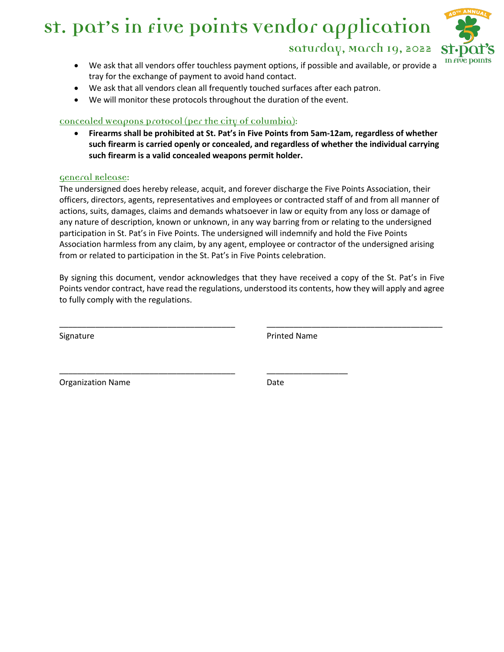

- **Saturday, March 19, 2022**
- We ask that all vendors offer touchless payment options, if possible and available, or provide a tray for the exchange of payment to avoid hand contact.
- We ask that all vendors clean all frequently touched surfaces after each patron.
- We will monitor these protocols throughout the duration of the event.

#### **Concealed Weapons Protocol (Per the City of Columbia):**

• **Firearms shall be prohibited at St. Pat's in Five Points from 5am-12am, regardless of whether such firearm is carried openly or concealed, and regardless of whether the individual carrying such firearm is a valid concealed weapons permit holder.**

#### **General Release:**

The undersigned does hereby release, acquit, and forever discharge the Five Points Association, their officers, directors, agents, representatives and employees or contracted staff of and from all manner of actions, suits, damages, claims and demands whatsoever in law or equity from any loss or damage of any nature of description, known or unknown, in any way barring from or relating to the undersigned participation in St. Pat's in Five Points. The undersigned will indemnify and hold the Five Points Association harmless from any claim, by any agent, employee or contractor of the undersigned arising from or related to participation in the St. Pat's in Five Points celebration.

By signing this document, vendor acknowledges that they have received a copy of the St. Pat's in Five Points vendor contract, have read the regulations, understood its contents, how they will apply and agree to fully comply with the regulations.

\_\_\_\_\_\_\_\_\_\_\_\_\_\_\_\_\_\_\_\_\_\_\_\_\_\_\_\_\_\_\_\_\_\_\_\_\_\_\_ \_\_\_\_\_\_\_\_\_\_\_\_\_\_\_\_\_\_\_\_\_\_\_\_\_\_\_\_\_\_\_\_\_\_\_\_\_\_\_

\_\_\_\_\_\_\_\_\_\_\_\_\_\_\_\_\_\_\_\_\_\_\_\_\_\_\_\_\_\_\_\_\_\_\_\_\_\_\_ \_\_\_\_\_\_\_\_\_\_\_\_\_\_\_\_\_\_

Signature **Printed Name** 

Organization Name **Date**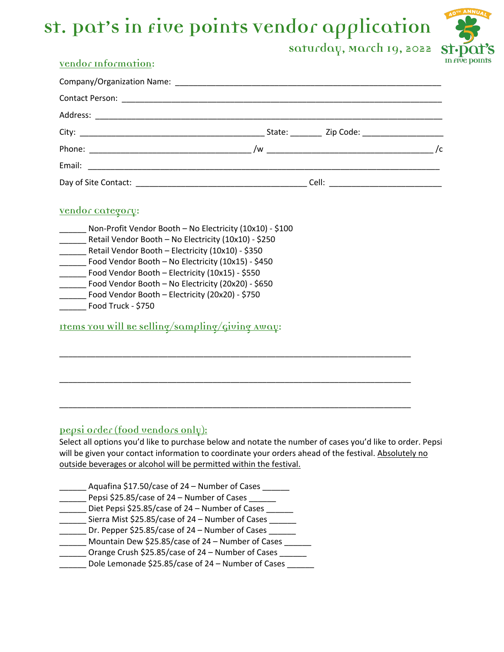

# **Saturday, March 19, 2022**

# **Vendor Information:**

### **Vendor Category:**

| Non-Profit Vendor Booth - No Electricity (10x10) - \$100 |
|----------------------------------------------------------|
| Retail Vendor Booth - No Electricity (10x10) - \$250     |
| Retail Vendor Booth - Electricity (10x10) - \$350        |
| Food Vendor Booth - No Electricity (10x15) - \$450       |
| Food Vendor Booth - Electricity (10x15) - \$550          |
| Food Vendor Booth - No Electricity (20x20) - \$650       |
| Food Vendor Booth - Electricity (20x20) - \$750          |
| Food Truck - \$750                                       |

**Items You Will Be Selling/Sampling/Giving Away:**

# **Pepsi Order (food vendors only):**

Select all options you'd like to purchase below and notate the number of cases you'd like to order. Pepsi will be given your contact information to coordinate your orders ahead of the festival. Absolutely no outside beverages or alcohol will be permitted within the festival.

\_\_\_\_\_\_\_\_\_\_\_\_\_\_\_\_\_\_\_\_\_\_\_\_\_\_\_\_\_\_\_\_\_\_\_\_\_\_\_\_\_\_\_\_\_\_\_\_\_\_\_\_\_\_\_\_\_\_\_\_\_\_\_\_\_\_\_\_\_\_\_\_\_\_\_\_\_\_

\_\_\_\_\_\_\_\_\_\_\_\_\_\_\_\_\_\_\_\_\_\_\_\_\_\_\_\_\_\_\_\_\_\_\_\_\_\_\_\_\_\_\_\_\_\_\_\_\_\_\_\_\_\_\_\_\_\_\_\_\_\_\_\_\_\_\_\_\_\_\_\_\_\_\_\_\_\_

\_\_\_\_\_\_\_\_\_\_\_\_\_\_\_\_\_\_\_\_\_\_\_\_\_\_\_\_\_\_\_\_\_\_\_\_\_\_\_\_\_\_\_\_\_\_\_\_\_\_\_\_\_\_\_\_\_\_\_\_\_\_\_\_\_\_\_\_\_\_\_\_\_\_\_\_\_\_

| Aquafina \$17.50/case of 24 - Number of Cases      |
|----------------------------------------------------|
| Pepsi \$25.85/case of 24 - Number of Cases         |
| Diet Pepsi \$25.85/case of 24 - Number of Cases    |
| Sierra Mist \$25.85/case of 24 - Number of Cases   |
| Dr. Pepper \$25.85/case of 24 - Number of Cases    |
| Mountain Dew \$25.85/case of 24 - Number of Cases  |
| Orange Crush \$25.85/case of 24 - Number of Cases  |
| Dole Lemonade \$25.85/case of 24 - Number of Cases |
|                                                    |